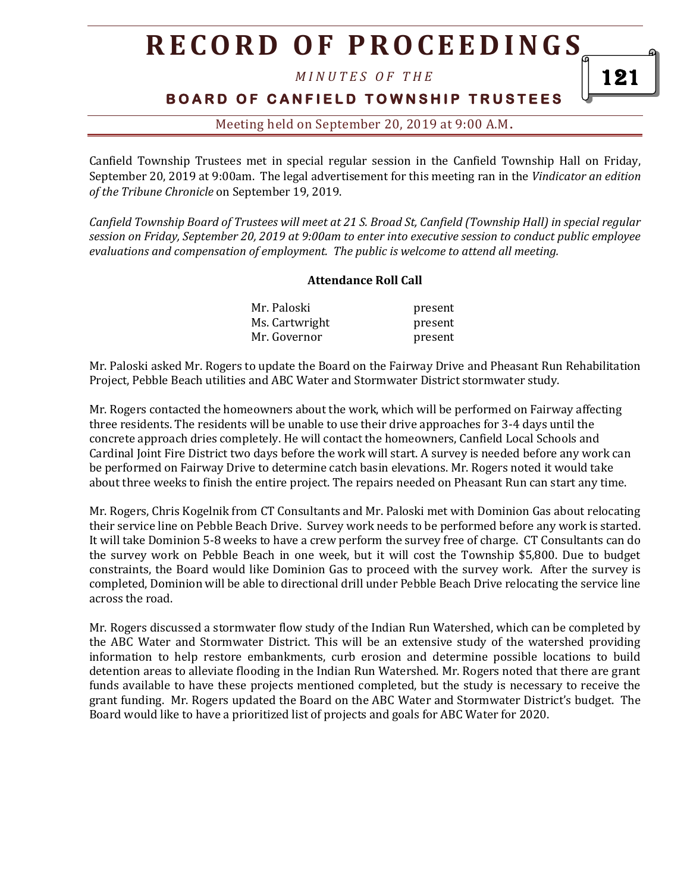# **R E C O R D O F P R O C E E D I N GS**

*M I N U T E S O F T H E* 

### **BOARD OF CANFIELD TOWNSHIP TRUSTEES**

### Meeting held on September 20, 2019 at 9:00 A.M**.**

Canfield Township Trustees met in special regular session in the Canfield Township Hall on Friday, September 20, 2019 at 9:00am. The legal advertisement for this meeting ran in the *Vindicator an edition of the Tribune Chronicle* on September 19, 2019.

*Canfield Township Board of Trustees will meet at 21 S. Broad St, Canfield (Township Hall) in special regular session on Friday, September 20, 2019 at 9:00am to enter into executive session to conduct public employee evaluations and compensation of employment. The public is welcome to attend all meeting.*

#### **Attendance Roll Call**

| Mr. Paloski    | present |
|----------------|---------|
| Ms. Cartwright | present |
| Mr. Governor   | present |

Mr. Paloski asked Mr. Rogers to update the Board on the Fairway Drive and Pheasant Run Rehabilitation Project, Pebble Beach utilities and ABC Water and Stormwater District stormwater study.

Mr. Rogers contacted the homeowners about the work, which will be performed on Fairway affecting three residents. The residents will be unable to use their drive approaches for 3-4 days until the concrete approach dries completely. He will contact the homeowners, Canfield Local Schools and Cardinal Joint Fire District two days before the work will start. A survey is needed before any work can be performed on Fairway Drive to determine catch basin elevations. Mr. Rogers noted it would take about three weeks to finish the entire project. The repairs needed on Pheasant Run can start any time.

Mr. Rogers, Chris Kogelnik from CT Consultants and Mr. Paloski met with Dominion Gas about relocating their service line on Pebble Beach Drive. Survey work needs to be performed before any work is started. It will take Dominion 5-8 weeks to have a crew perform the survey free of charge. CT Consultants can do the survey work on Pebble Beach in one week, but it will cost the Township \$5,800. Due to budget constraints, the Board would like Dominion Gas to proceed with the survey work. After the survey is completed, Dominion will be able to directional drill under Pebble Beach Drive relocating the service line across the road.

Mr. Rogers discussed a stormwater flow study of the Indian Run Watershed, which can be completed by the ABC Water and Stormwater District. This will be an extensive study of the watershed providing information to help restore embankments, curb erosion and determine possible locations to build detention areas to alleviate flooding in the Indian Run Watershed. Mr. Rogers noted that there are grant funds available to have these projects mentioned completed, but the study is necessary to receive the grant funding. Mr. Rogers updated the Board on the ABC Water and Stormwater District's budget. The Board would like to have a prioritized list of projects and goals for ABC Water for 2020.

121